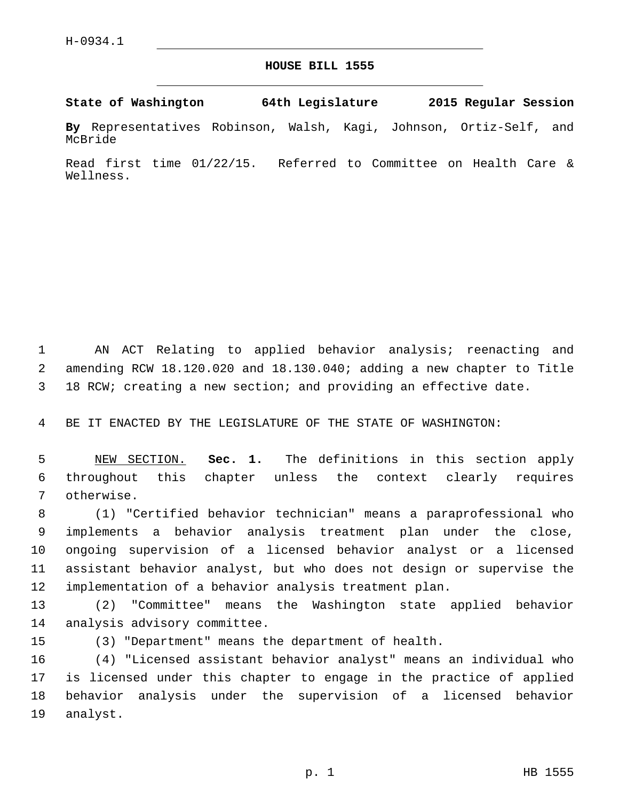## **HOUSE BILL 1555**

**State of Washington 64th Legislature 2015 Regular Session**

**By** Representatives Robinson, Walsh, Kagi, Johnson, Ortiz-Self, and McBride

Read first time 01/22/15. Referred to Committee on Health Care & Wellness.

 AN ACT Relating to applied behavior analysis; reenacting and amending RCW 18.120.020 and 18.130.040; adding a new chapter to Title 18 RCW; creating a new section; and providing an effective date.

BE IT ENACTED BY THE LEGISLATURE OF THE STATE OF WASHINGTON:

 NEW SECTION. **Sec. 1.** The definitions in this section apply throughout this chapter unless the context clearly requires otherwise.

 (1) "Certified behavior technician" means a paraprofessional who implements a behavior analysis treatment plan under the close, ongoing supervision of a licensed behavior analyst or a licensed assistant behavior analyst, but who does not design or supervise the implementation of a behavior analysis treatment plan.

 (2) "Committee" means the Washington state applied behavior 14 analysis advisory committee.

(3) "Department" means the department of health.

 (4) "Licensed assistant behavior analyst" means an individual who is licensed under this chapter to engage in the practice of applied behavior analysis under the supervision of a licensed behavior 19 analyst.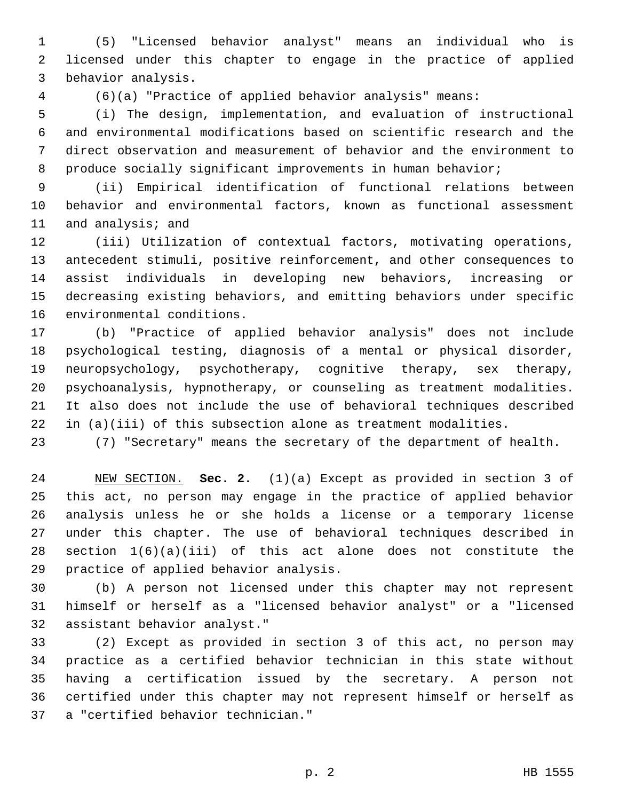(5) "Licensed behavior analyst" means an individual who is licensed under this chapter to engage in the practice of applied 3 behavior analysis.

(6)(a) "Practice of applied behavior analysis" means:

 (i) The design, implementation, and evaluation of instructional and environmental modifications based on scientific research and the direct observation and measurement of behavior and the environment to produce socially significant improvements in human behavior;

 (ii) Empirical identification of functional relations between behavior and environmental factors, known as functional assessment 11 and analysis; and

 (iii) Utilization of contextual factors, motivating operations, antecedent stimuli, positive reinforcement, and other consequences to assist individuals in developing new behaviors, increasing or decreasing existing behaviors, and emitting behaviors under specific 16 environmental conditions.

 (b) "Practice of applied behavior analysis" does not include psychological testing, diagnosis of a mental or physical disorder, neuropsychology, psychotherapy, cognitive therapy, sex therapy, psychoanalysis, hypnotherapy, or counseling as treatment modalities. It also does not include the use of behavioral techniques described in (a)(iii) of this subsection alone as treatment modalities.

(7) "Secretary" means the secretary of the department of health.

 NEW SECTION. **Sec. 2.** (1)(a) Except as provided in section 3 of this act, no person may engage in the practice of applied behavior analysis unless he or she holds a license or a temporary license under this chapter. The use of behavioral techniques described in section 1(6)(a)(iii) of this act alone does not constitute the practice of applied behavior analysis.

 (b) A person not licensed under this chapter may not represent himself or herself as a "licensed behavior analyst" or a "licensed 32 assistant behavior analyst."

 (2) Except as provided in section 3 of this act, no person may practice as a certified behavior technician in this state without having a certification issued by the secretary. A person not certified under this chapter may not represent himself or herself as 37 a "certified behavior technician."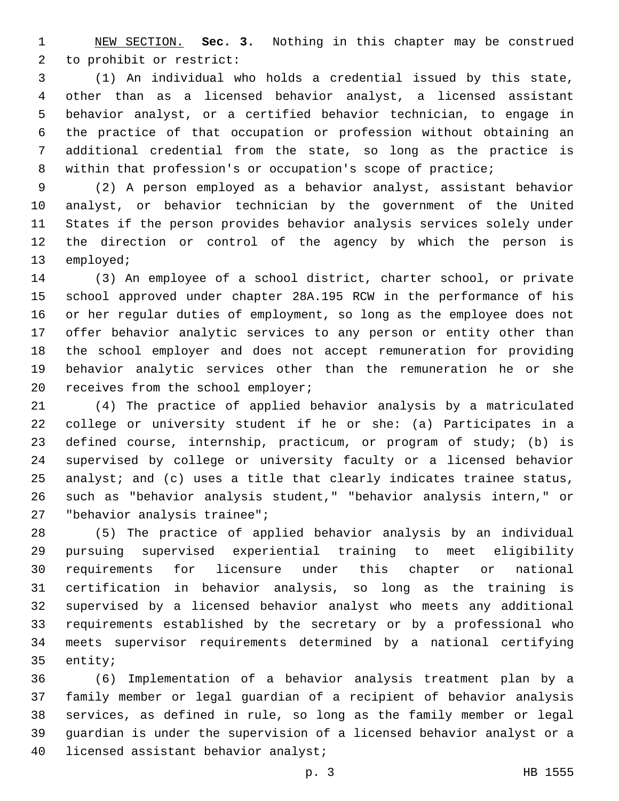NEW SECTION. **Sec. 3.** Nothing in this chapter may be construed to prohibit or restrict:

 (1) An individual who holds a credential issued by this state, other than as a licensed behavior analyst, a licensed assistant behavior analyst, or a certified behavior technician, to engage in the practice of that occupation or profession without obtaining an additional credential from the state, so long as the practice is within that profession's or occupation's scope of practice;

 (2) A person employed as a behavior analyst, assistant behavior analyst, or behavior technician by the government of the United States if the person provides behavior analysis services solely under the direction or control of the agency by which the person is 13 employed;

 (3) An employee of a school district, charter school, or private school approved under chapter 28A.195 RCW in the performance of his or her regular duties of employment, so long as the employee does not offer behavior analytic services to any person or entity other than the school employer and does not accept remuneration for providing behavior analytic services other than the remuneration he or she 20 receives from the school employer;

 (4) The practice of applied behavior analysis by a matriculated college or university student if he or she: (a) Participates in a defined course, internship, practicum, or program of study; (b) is supervised by college or university faculty or a licensed behavior analyst; and (c) uses a title that clearly indicates trainee status, such as "behavior analysis student," "behavior analysis intern," or 27 "behavior analysis trainee";

 (5) The practice of applied behavior analysis by an individual pursuing supervised experiential training to meet eligibility requirements for licensure under this chapter or national certification in behavior analysis, so long as the training is supervised by a licensed behavior analyst who meets any additional requirements established by the secretary or by a professional who meets supervisor requirements determined by a national certifying 35 entity;

 (6) Implementation of a behavior analysis treatment plan by a family member or legal guardian of a recipient of behavior analysis services, as defined in rule, so long as the family member or legal guardian is under the supervision of a licensed behavior analyst or a 40 licensed assistant behavior analyst;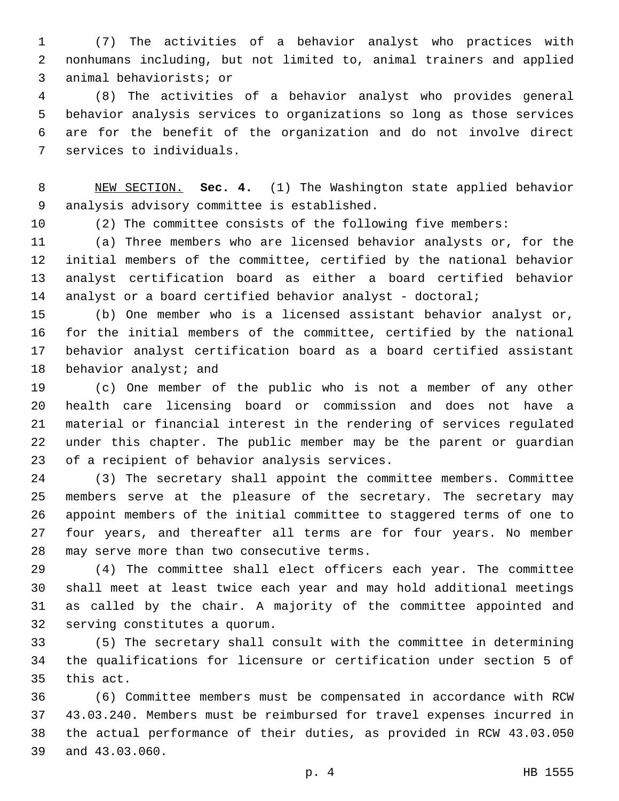(7) The activities of a behavior analyst who practices with nonhumans including, but not limited to, animal trainers and applied 3 animal behaviorists; or

 (8) The activities of a behavior analyst who provides general behavior analysis services to organizations so long as those services are for the benefit of the organization and do not involve direct 7 services to individuals.

 NEW SECTION. **Sec. 4.** (1) The Washington state applied behavior analysis advisory committee is established.

(2) The committee consists of the following five members:

 (a) Three members who are licensed behavior analysts or, for the initial members of the committee, certified by the national behavior analyst certification board as either a board certified behavior 14 analyst or a board certified behavior analyst - doctoral;

 (b) One member who is a licensed assistant behavior analyst or, for the initial members of the committee, certified by the national behavior analyst certification board as a board certified assistant 18 behavior analyst; and

 (c) One member of the public who is not a member of any other health care licensing board or commission and does not have a material or financial interest in the rendering of services regulated under this chapter. The public member may be the parent or guardian 23 of a recipient of behavior analysis services.

 (3) The secretary shall appoint the committee members. Committee members serve at the pleasure of the secretary. The secretary may appoint members of the initial committee to staggered terms of one to four years, and thereafter all terms are for four years. No member 28 may serve more than two consecutive terms.

 (4) The committee shall elect officers each year. The committee shall meet at least twice each year and may hold additional meetings as called by the chair. A majority of the committee appointed and 32 serving constitutes a quorum.

 (5) The secretary shall consult with the committee in determining the qualifications for licensure or certification under section 5 of 35 this act.

 (6) Committee members must be compensated in accordance with RCW 43.03.240. Members must be reimbursed for travel expenses incurred in the actual performance of their duties, as provided in RCW 43.03.050 39 and 43.03.060.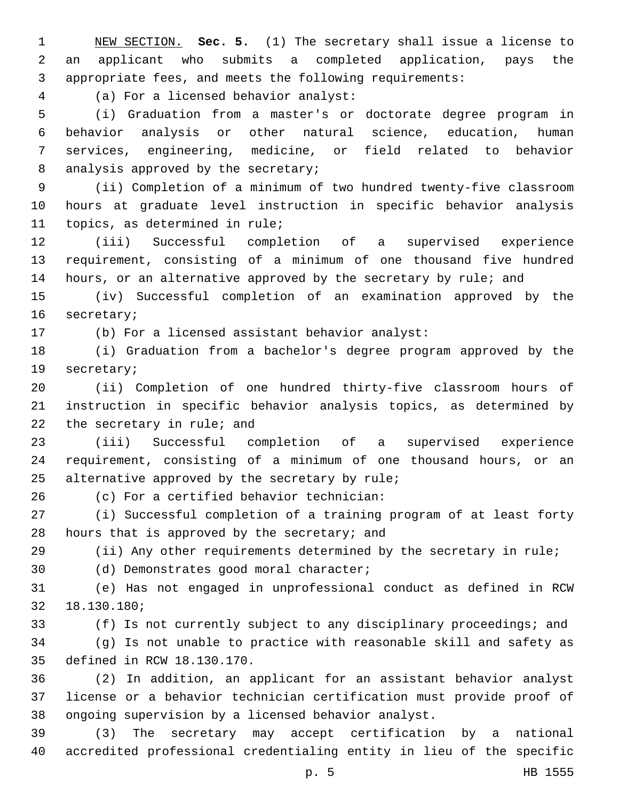NEW SECTION. **Sec. 5.** (1) The secretary shall issue a license to an applicant who submits a completed application, pays the appropriate fees, and meets the following requirements: (a) For a licensed behavior analyst:4

 (i) Graduation from a master's or doctorate degree program in behavior analysis or other natural science, education, human services, engineering, medicine, or field related to behavior 8 analysis approved by the secretary;

 (ii) Completion of a minimum of two hundred twenty-five classroom hours at graduate level instruction in specific behavior analysis 11 topics, as determined in rule;

 (iii) Successful completion of a supervised experience requirement, consisting of a minimum of one thousand five hundred hours, or an alternative approved by the secretary by rule; and

 (iv) Successful completion of an examination approved by the 16 secretary;

(b) For a licensed assistant behavior analyst:

 (i) Graduation from a bachelor's degree program approved by the 19 secretary;

 (ii) Completion of one hundred thirty-five classroom hours of instruction in specific behavior analysis topics, as determined by 22 the secretary in rule; and

 (iii) Successful completion of a supervised experience requirement, consisting of a minimum of one thousand hours, or an 25 alternative approved by the secretary by rule;

(c) For a certified behavior technician:26

 (i) Successful completion of a training program of at least forty 28 hours that is approved by the secretary; and

(ii) Any other requirements determined by the secretary in rule;

30 (d) Demonstrates good moral character;

(e) Has not engaged in unprofessional conduct as defined in RCW

18.130.180;32

(f) Is not currently subject to any disciplinary proceedings; and

 (g) Is not unable to practice with reasonable skill and safety as 35 defined in RCW 18.130.170.

 (2) In addition, an applicant for an assistant behavior analyst license or a behavior technician certification must provide proof of ongoing supervision by a licensed behavior analyst.

 (3) The secretary may accept certification by a national accredited professional credentialing entity in lieu of the specific

p. 5 HB 1555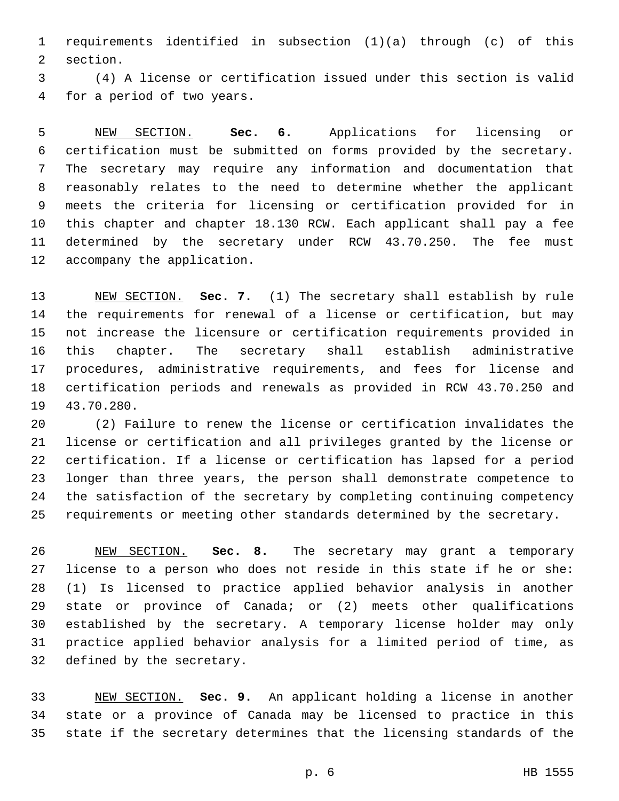requirements identified in subsection (1)(a) through (c) of this 2 section.

 (4) A license or certification issued under this section is valid 4 for a period of two years.

 NEW SECTION. **Sec. 6.** Applications for licensing or certification must be submitted on forms provided by the secretary. The secretary may require any information and documentation that reasonably relates to the need to determine whether the applicant meets the criteria for licensing or certification provided for in this chapter and chapter 18.130 RCW. Each applicant shall pay a fee determined by the secretary under RCW 43.70.250. The fee must accompany the application.

 NEW SECTION. **Sec. 7.** (1) The secretary shall establish by rule the requirements for renewal of a license or certification, but may not increase the licensure or certification requirements provided in this chapter. The secretary shall establish administrative procedures, administrative requirements, and fees for license and certification periods and renewals as provided in RCW 43.70.250 and 43.70.280.

 (2) Failure to renew the license or certification invalidates the license or certification and all privileges granted by the license or certification. If a license or certification has lapsed for a period longer than three years, the person shall demonstrate competence to the satisfaction of the secretary by completing continuing competency requirements or meeting other standards determined by the secretary.

 NEW SECTION. **Sec. 8.** The secretary may grant a temporary license to a person who does not reside in this state if he or she: (1) Is licensed to practice applied behavior analysis in another state or province of Canada; or (2) meets other qualifications established by the secretary. A temporary license holder may only practice applied behavior analysis for a limited period of time, as defined by the secretary.

 NEW SECTION. **Sec. 9.** An applicant holding a license in another state or a province of Canada may be licensed to practice in this state if the secretary determines that the licensing standards of the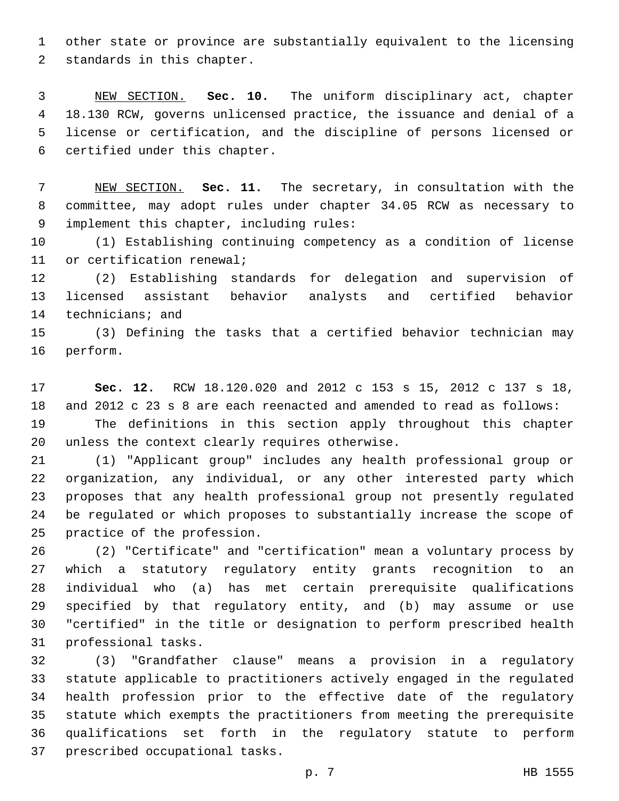other state or province are substantially equivalent to the licensing 2 standards in this chapter.

 NEW SECTION. **Sec. 10.** The uniform disciplinary act, chapter 18.130 RCW, governs unlicensed practice, the issuance and denial of a license or certification, and the discipline of persons licensed or certified under this chapter.

 NEW SECTION. **Sec. 11.** The secretary, in consultation with the committee, may adopt rules under chapter 34.05 RCW as necessary to implement this chapter, including rules:

 (1) Establishing continuing competency as a condition of license 11 or certification renewal;

 (2) Establishing standards for delegation and supervision of licensed assistant behavior analysts and certified behavior 14 technicians; and

 (3) Defining the tasks that a certified behavior technician may 16 perform.

 **Sec. 12.** RCW 18.120.020 and 2012 c 153 s 15, 2012 c 137 s 18, and 2012 c 23 s 8 are each reenacted and amended to read as follows: The definitions in this section apply throughout this chapter

20 unless the context clearly requires otherwise.

 (1) "Applicant group" includes any health professional group or organization, any individual, or any other interested party which proposes that any health professional group not presently regulated be regulated or which proposes to substantially increase the scope of 25 practice of the profession.

 (2) "Certificate" and "certification" mean a voluntary process by which a statutory regulatory entity grants recognition to an individual who (a) has met certain prerequisite qualifications specified by that regulatory entity, and (b) may assume or use "certified" in the title or designation to perform prescribed health 31 professional tasks.

 (3) "Grandfather clause" means a provision in a regulatory statute applicable to practitioners actively engaged in the regulated health profession prior to the effective date of the regulatory statute which exempts the practitioners from meeting the prerequisite qualifications set forth in the regulatory statute to perform 37 prescribed occupational tasks.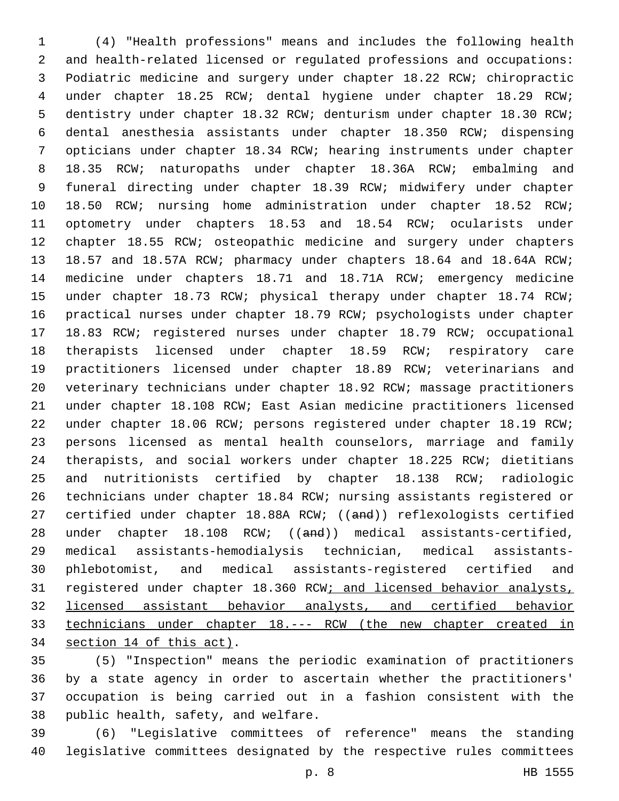(4) "Health professions" means and includes the following health and health-related licensed or regulated professions and occupations: Podiatric medicine and surgery under chapter 18.22 RCW; chiropractic under chapter 18.25 RCW; dental hygiene under chapter 18.29 RCW; dentistry under chapter 18.32 RCW; denturism under chapter 18.30 RCW; dental anesthesia assistants under chapter 18.350 RCW; dispensing opticians under chapter 18.34 RCW; hearing instruments under chapter 18.35 RCW; naturopaths under chapter 18.36A RCW; embalming and funeral directing under chapter 18.39 RCW; midwifery under chapter 18.50 RCW; nursing home administration under chapter 18.52 RCW; optometry under chapters 18.53 and 18.54 RCW; ocularists under chapter 18.55 RCW; osteopathic medicine and surgery under chapters 18.57 and 18.57A RCW; pharmacy under chapters 18.64 and 18.64A RCW; medicine under chapters 18.71 and 18.71A RCW; emergency medicine 15 under chapter 18.73 RCW; physical therapy under chapter 18.74 RCW; practical nurses under chapter 18.79 RCW; psychologists under chapter 18.83 RCW; registered nurses under chapter 18.79 RCW; occupational therapists licensed under chapter 18.59 RCW; respiratory care practitioners licensed under chapter 18.89 RCW; veterinarians and veterinary technicians under chapter 18.92 RCW; massage practitioners under chapter 18.108 RCW; East Asian medicine practitioners licensed under chapter 18.06 RCW; persons registered under chapter 18.19 RCW; persons licensed as mental health counselors, marriage and family therapists, and social workers under chapter 18.225 RCW; dietitians and nutritionists certified by chapter 18.138 RCW; radiologic technicians under chapter 18.84 RCW; nursing assistants registered or 27 certified under chapter 18.88A RCW; ((and)) reflexologists certified 28 under chapter 18.108 RCW; ((and)) medical assistants-certified, medical assistants-hemodialysis technician, medical assistants- phlebotomist, and medical assistants-registered certified and registered under chapter 18.360 RCW; and licensed behavior analysts, licensed assistant behavior analysts, and certified behavior technicians under chapter 18.--- RCW (the new chapter created in 34 section 14 of this act).

 (5) "Inspection" means the periodic examination of practitioners by a state agency in order to ascertain whether the practitioners' occupation is being carried out in a fashion consistent with the 38 public health, safety, and welfare.

 (6) "Legislative committees of reference" means the standing legislative committees designated by the respective rules committees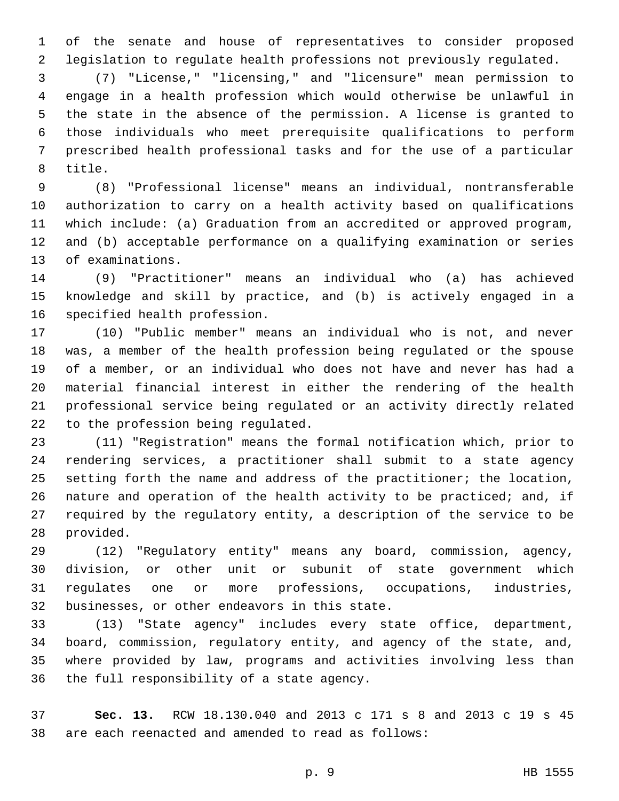of the senate and house of representatives to consider proposed legislation to regulate health professions not previously regulated.

 (7) "License," "licensing," and "licensure" mean permission to engage in a health profession which would otherwise be unlawful in the state in the absence of the permission. A license is granted to those individuals who meet prerequisite qualifications to perform prescribed health professional tasks and for the use of a particular 8 title.

 (8) "Professional license" means an individual, nontransferable authorization to carry on a health activity based on qualifications which include: (a) Graduation from an accredited or approved program, and (b) acceptable performance on a qualifying examination or series 13 of examinations.

 (9) "Practitioner" means an individual who (a) has achieved knowledge and skill by practice, and (b) is actively engaged in a 16 specified health profession.

 (10) "Public member" means an individual who is not, and never was, a member of the health profession being regulated or the spouse of a member, or an individual who does not have and never has had a material financial interest in either the rendering of the health professional service being regulated or an activity directly related 22 to the profession being regulated.

 (11) "Registration" means the formal notification which, prior to rendering services, a practitioner shall submit to a state agency setting forth the name and address of the practitioner; the location, nature and operation of the health activity to be practiced; and, if required by the regulatory entity, a description of the service to be 28 provided.

 (12) "Regulatory entity" means any board, commission, agency, division, or other unit or subunit of state government which regulates one or more professions, occupations, industries, 32 businesses, or other endeavors in this state.

 (13) "State agency" includes every state office, department, board, commission, regulatory entity, and agency of the state, and, where provided by law, programs and activities involving less than 36 the full responsibility of a state agency.

 **Sec. 13.** RCW 18.130.040 and 2013 c 171 s 8 and 2013 c 19 s 45 are each reenacted and amended to read as follows: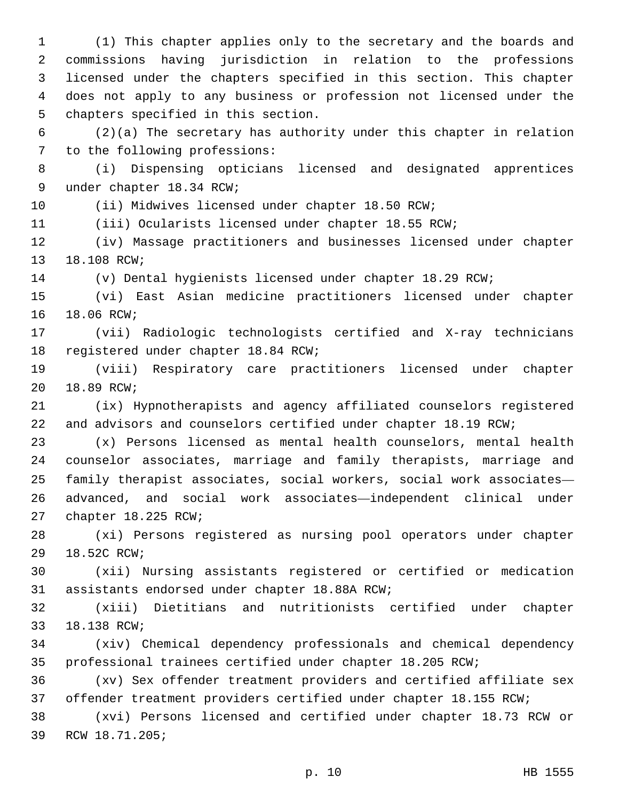(1) This chapter applies only to the secretary and the boards and commissions having jurisdiction in relation to the professions licensed under the chapters specified in this section. This chapter does not apply to any business or profession not licensed under the 5 chapters specified in this section.

 (2)(a) The secretary has authority under this chapter in relation 7 to the following professions:

 (i) Dispensing opticians licensed and designated apprentices 9 under chapter 18.34 RCW;

(ii) Midwives licensed under chapter 18.50 RCW;

(iii) Ocularists licensed under chapter 18.55 RCW;

 (iv) Massage practitioners and businesses licensed under chapter 13 18.108 RCW;

(v) Dental hygienists licensed under chapter 18.29 RCW;

 (vi) East Asian medicine practitioners licensed under chapter 16 18.06 RCW;

 (vii) Radiologic technologists certified and X-ray technicians 18 registered under chapter 18.84 RCW;

 (viii) Respiratory care practitioners licensed under chapter 20 18.89 RCW;

 (ix) Hypnotherapists and agency affiliated counselors registered and advisors and counselors certified under chapter 18.19 RCW;

 (x) Persons licensed as mental health counselors, mental health counselor associates, marriage and family therapists, marriage and family therapist associates, social workers, social work associates— advanced, and social work associates—independent clinical under 27 chapter 18.225 RCW;

 (xi) Persons registered as nursing pool operators under chapter 29 18.52C RCW;

 (xii) Nursing assistants registered or certified or medication 31 assistants endorsed under chapter 18.88A RCW;

 (xiii) Dietitians and nutritionists certified under chapter 33 18.138 RCW;

 (xiv) Chemical dependency professionals and chemical dependency professional trainees certified under chapter 18.205 RCW;

 (xv) Sex offender treatment providers and certified affiliate sex offender treatment providers certified under chapter 18.155 RCW;

 (xvi) Persons licensed and certified under chapter 18.73 RCW or 39 RCW 18.71.205;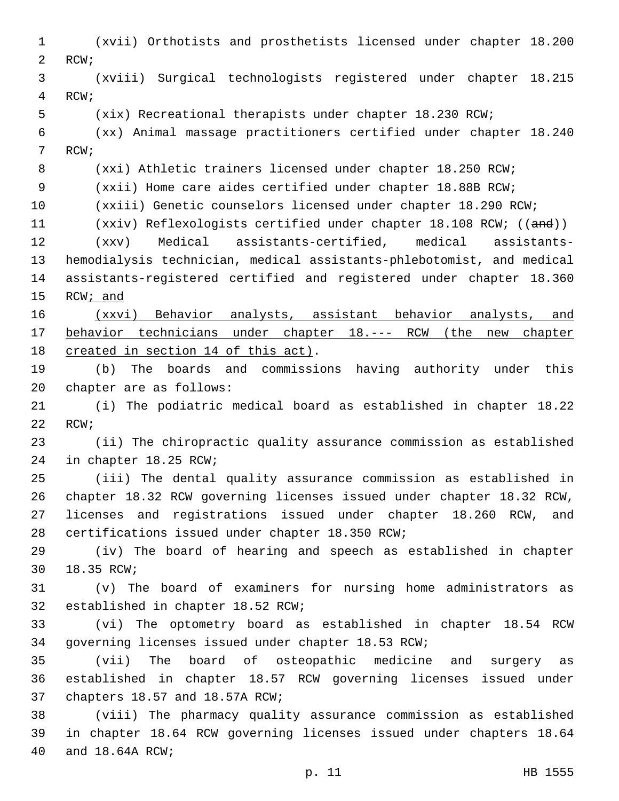(xvii) Orthotists and prosthetists licensed under chapter 18.200 2 RCW; (xviii) Surgical technologists registered under chapter 18.215 4 RCW; (xix) Recreational therapists under chapter 18.230 RCW; (xx) Animal massage practitioners certified under chapter 18.240 7 RCW; (xxi) Athletic trainers licensed under chapter 18.250 RCW; (xxii) Home care aides certified under chapter 18.88B RCW; (xxiii) Genetic counselors licensed under chapter 18.290 RCW; 11 (xxiv) Reflexologists certified under chapter 18.108 RCW; ((and)) (xxv) Medical assistants-certified, medical assistants- hemodialysis technician, medical assistants-phlebotomist, and medical assistants-registered certified and registered under chapter 18.360 15 RCW; and (xxvi) Behavior analysts, assistant behavior analysts, and behavior technicians under chapter 18.--- RCW (the new chapter 18 created in section 14 of this act). (b) The boards and commissions having authority under this 20 chapter are as follows: (i) The podiatric medical board as established in chapter 18.22 22 RCW; (ii) The chiropractic quality assurance commission as established 24 in chapter 18.25 RCW; (iii) The dental quality assurance commission as established in chapter 18.32 RCW governing licenses issued under chapter 18.32 RCW, licenses and registrations issued under chapter 18.260 RCW, and 28 certifications issued under chapter 18.350 RCW; (iv) The board of hearing and speech as established in chapter 30 18.35 RCW; (v) The board of examiners for nursing home administrators as 32 established in chapter 18.52 RCW; (vi) The optometry board as established in chapter 18.54 RCW governing licenses issued under chapter 18.53 RCW; (vii) The board of osteopathic medicine and surgery as established in chapter 18.57 RCW governing licenses issued under 37 chapters 18.57 and 18.57A RCW; (viii) The pharmacy quality assurance commission as established in chapter 18.64 RCW governing licenses issued under chapters 18.64 40 and 18.64A RCW;